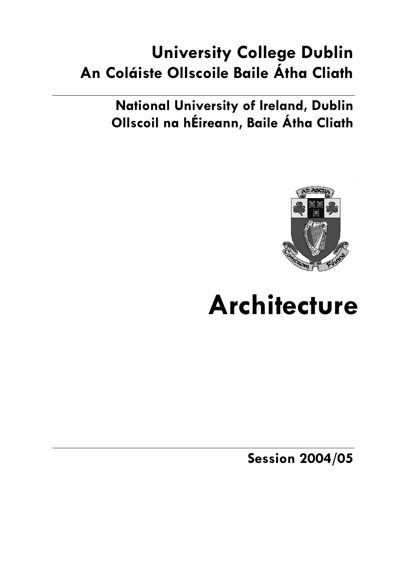# **University College Dublin An Coláiste Ollscoile Baile Átha Cliath**

**National University of Ireland, Dublin Ollscoil na hÉireann, Baile Átha Cliath** 



# **Architecture**

**Session 2004/05**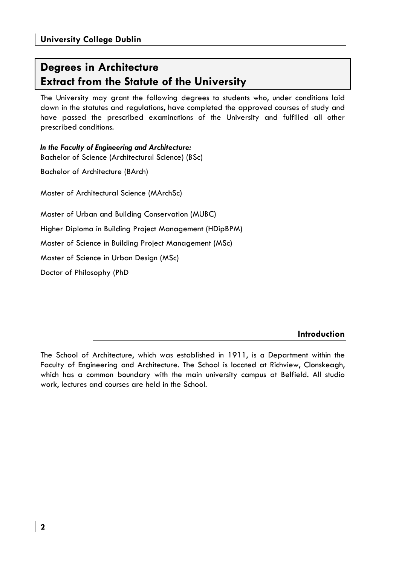# **Degrees in Architecture Extract from the Statute of the University**

The University may grant the following degrees to students who, under conditions laid down in the statutes and regulations, have completed the approved courses of study and have passed the prescribed examinations of the University and fulfilled all other prescribed conditions.

*In the Faculty of Engineering and Architecture:*  Bachelor of Science (Architectural Science) (BSc)

Bachelor of Architecture (BArch)

Master of Architectural Science (MArchSc)

Master of Urban and Building Conservation (MUBC)

Higher Diploma in Building Project Management (HDipBPM)

Master of Science in Building Project Management (MSc)

Master of Science in Urban Design (MSc)

Doctor of Philosophy (PhD

**Introduction** 

The School of Architecture, which was established in 1911, is a Department within the Faculty of Engineering and Architecture. The School is located at Richview, Clonskeagh, which has a common boundary with the main university campus at Belfield. All studio work, lectures and courses are held in the School.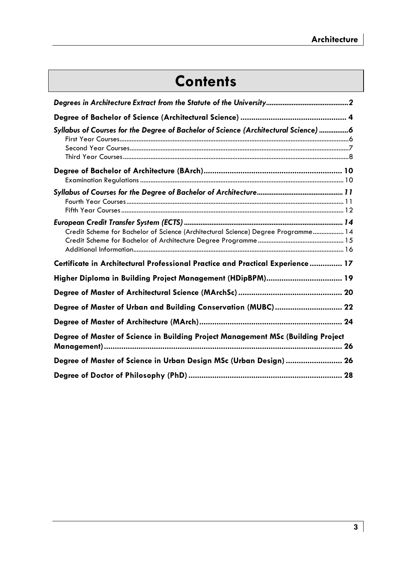# **Contents**

| Syllabus of Courses for the Degree of Bachelor of Science (Architectural Science) 6 |
|-------------------------------------------------------------------------------------|
|                                                                                     |
|                                                                                     |
| Credit Scheme for Bachelor of Science (Architectural Science) Degree Programme 14   |
| Certificate in Architectural Professional Practice and Practical Experience  17     |
| Higher Diploma in Building Project Management (HDipBPM) 19                          |
|                                                                                     |
| Degree of Master of Urban and Building Conservation (MUBC) 22                       |
|                                                                                     |
| Degree of Master of Science in Building Project Management MSc (Building Project    |
| Degree of Master of Science in Urban Design MSc (Urban Design)  26                  |
|                                                                                     |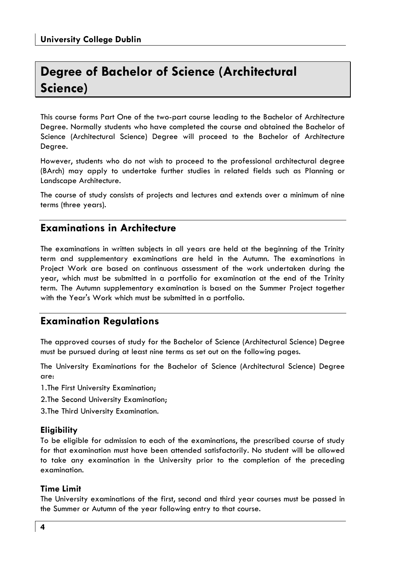# **Degree of Bachelor of Science (Architectural Science)**

This course forms Part One of the two-part course leading to the Bachelor of Architecture Degree. Normally students who have completed the course and obtained the Bachelor of Science (Architectural Science) Degree will proceed to the Bachelor of Architecture Degree.

However, students who do not wish to proceed to the professional architectural degree (BArch) may apply to undertake further studies in related fields such as Planning or Landscape Architecture.

The course of study consists of projects and lectures and extends over a minimum of nine terms (three years).

# **Examinations in Architecture**

The examinations in written subjects in all years are held at the beginning of the Trinity term and supplementary examinations are held in the Autumn. The examinations in Project Work are based on continuous assessment of the work undertaken during the year, which must be submitted in a portfolio for examination at the end of the Trinity term. The Autumn supplementary examination is based on the Summer Project together with the Year's Work which must be submitted in a portfolio.

# **Examination Regulations**

The approved courses of study for the Bachelor of Science (Architectural Science) Degree must be pursued during at least nine terms as set out on the following pages.

The University Examinations for the Bachelor of Science (Architectural Science) Degree are:

1. The First University Examination;

2. The Second University Examination;

3. The Third University Examination.

# **Eligibility**

To be eligible for admission to each of the examinations, the prescribed course of study for that examination must have been attended satisfactorily. No student will be allowed to take any examination in the University prior to the completion of the preceding examination.

### **Time Limit**

The University examinations of the first, second and third year courses must be passed in the Summer or Autumn of the year following entry to that course.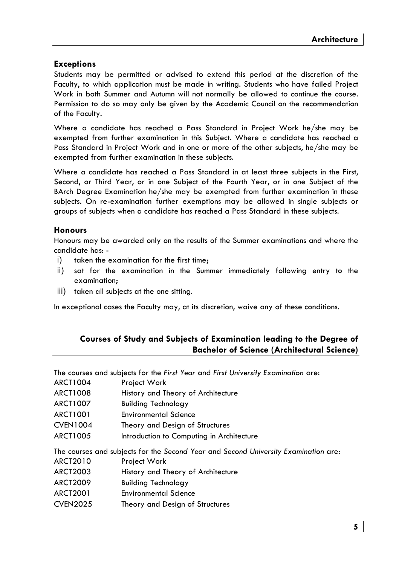# **Exceptions**

Students may be permitted or advised to extend this period at the discretion of the Faculty, to which application must be made in writing. Students who have failed Project Work in both Summer and Autumn will not normally be allowed to continue the course. Permission to do so may only be given by the Academic Council on the recommendation of the Faculty.

Where a candidate has reached a Pass Standard in Project Work he/she may be exempted from further examination in this Subject. Where a candidate has reached a Pass Standard in Project Work and in one or more of the other subjects, he/she may be exempted from further examination in these subjects.

Where a candidate has reached a Pass Standard in at least three subjects in the First, Second, or Third Year, or in one Subject of the Fourth Year, or in one Subject of the BArch Degree Examination he/she may be exempted from further examination in these subjects. On re-examination further exemptions may be allowed in single subjects or groups of subjects when a candidate has reached a Pass Standard in these subjects.

### **Honours**

Honours may be awarded only on the results of the Summer examinations and where the candidate has: -

- i) taken the examination for the first time;
- ii) sat for the examination in the Summer immediately following entry to the examination;
- iii) taken all subjects at the one sitting.

In exceptional cases the Faculty may, at its discretion, waive any of these conditions.

# **Courses of Study and Subjects of Examination leading to the Degree of Bachelor of Science (Architectural Science)**

|                 | The courses and subjects for the First Year and First University Examination are:   |
|-----------------|-------------------------------------------------------------------------------------|
| ARCT1004        | Project Work                                                                        |
| ARCT1008        | History and Theory of Architecture                                                  |
| ARCT1007        | <b>Building Technology</b>                                                          |
| ARCT1001        | <b>Environmental Science</b>                                                        |
| <b>CVEN1004</b> | Theory and Design of Structures                                                     |
| ARCT1005        | Introduction to Computing in Architecture                                           |
|                 | The courses and subjects for the Second Year and Second University Examination are: |
| <b>ARCT2010</b> | Project Work                                                                        |
| <b>ARCT2003</b> |                                                                                     |
|                 | History and Theory of Architecture                                                  |
| <b>ARCT2009</b> | <b>Building Technology</b>                                                          |
| <b>ARCT2001</b> | <b>Environmental Science</b>                                                        |
| <b>CVEN2025</b> | Theory and Design of Structures                                                     |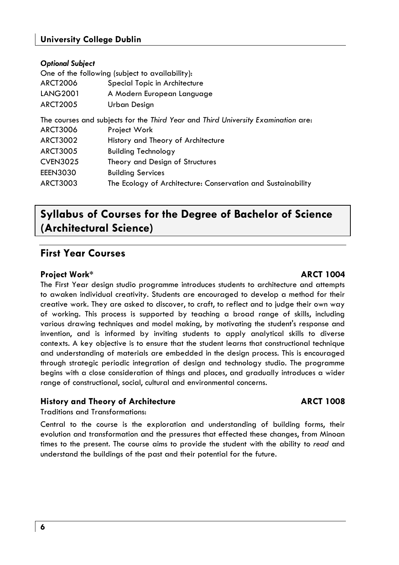# **University College Dublin**

| One of the following (subject to availability):                                   |                                                              |
|-----------------------------------------------------------------------------------|--------------------------------------------------------------|
|                                                                                   |                                                              |
| <b>ARCT2006</b><br>Special Topic in Architecture                                  |                                                              |
| <b>LANG2001</b><br>A Modern European Language                                     |                                                              |
| <b>ARCT2005</b><br>Urban Design                                                   |                                                              |
| The courses and subjects for the Third Year and Third University Examination are: |                                                              |
| <b>ARCT3006</b><br>Project Work                                                   |                                                              |
| <b>ARCT3002</b><br>History and Theory of Architecture                             |                                                              |
| ARCT3005<br><b>Building Technology</b>                                            |                                                              |
| <b>CVEN3025</b><br>Theory and Design of Structures                                |                                                              |
| <b>EEEN3030</b><br><b>Building Services</b>                                       |                                                              |
| ARCT3003                                                                          | The Ecology of Architecture: Conservation and Sustainability |
|                                                                                   |                                                              |

# **Syllabus of Courses for the Degree of Bachelor of Science (Architectural Science)**

# **First Year Courses**

# **Project Work\* ARCT 1004**

The First Year design studio programme introduces students to architecture and attempts to awaken individual creativity. Students are encouraged to develop a method for their creative work. They are asked to discover, to craft, to reflect and to judge their own way of working. This process is supported by teaching a broad range of skills, including various drawing techniques and model making, by motivating the student's response and invention, and is informed by inviting students to apply analytical skills to diverse contexts. A key objective is to ensure that the student learns that constructional technique and understanding of materials are embedded in the design process. This is encouraged through strategic periodic integration of design and technology studio. The programme begins with a close consideration of things and places, and gradually introduces a wider range of constructional, social, cultural and environmental concerns.

# **History and Theory of Architecture ARCT 1008**

Traditions and Transformations:

Central to the course is the exploration and understanding of building forms, their evolution and transformation and the pressures that effected these changes, from Minoan times to the present. The course aims to provide the student with the ability to *read* and understand the buildings of the past and their potential for the future.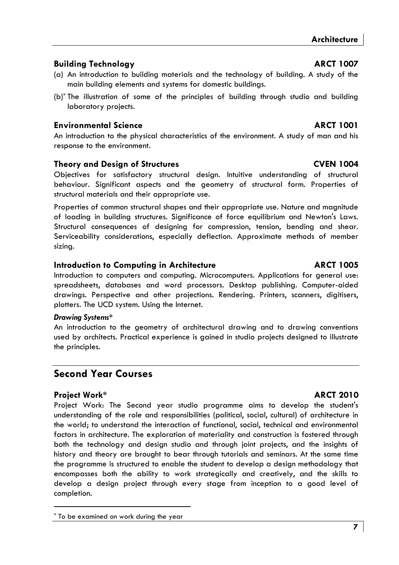# **Building Technology ARCT 1007**

- (a) An introduction to building materials and the technology of building. A study of the main building elements and systems for domestic buildings.
- (b)\* The illustration of some of the principles of building through studio and building laboratory projects.

# **Environmental Science ARCT 1001**

An introduction to the physical characteristics of the environment. A study of man and his response to the environment.

# **Theory and Design of Structures CVEN 1004**

Objectives for satisfactory structural design. Intuitive understanding of structural behaviour. Significant aspects and the geometry of structural form. Properties of structural materials and their appropriate use.

Properties of common structural shapes and their appropriate use. Nature and magnitude of loading in building structures. Significance of force equilibrium and Newton's Laws. Structural consequences of designing for compression, tension, bending and shear. Serviceability considerations, especially deflection. Approximate methods of member sizing.

# **Introduction to Computing in Architecture ARCT 1005**

Introduction to computers and computing. Microcomputers. Applications for general use: spreadsheets, databases and word processors. Desktop publishing. Computer-aided drawings. Perspective and other projections. Rendering. Printers, scanners, digitisers, plotters. The UCD system. Using the Internet.

### *Drawing Systems\**

An introduction to the geometry of architectural drawing and to drawing conventions used by architects. Practical experience is gained in studio projects designed to illustrate the principles.

# **Second Year Courses**

# **Project Work\* ARCT 2010**

Project Work: The Second year studio programme aims to develop the student's understanding of the role and responsibilities (political, social, cultural) of architecture in the world; to understand the interaction of functional, social, technical and environmental factors in architecture. The exploration of materiality and construction is fostered through both the technology and design studio and through joint projects, and the insights of history and theory are brought to bear through tutorials and seminars. At the same time the programme is structured to enable the student to develop a design methodology that encompasses both the ability to work strategically and creatively, and the skills to develop a design project through every stage from inception to a good level of completion.

<sup>\*</sup> To be examined on work during the year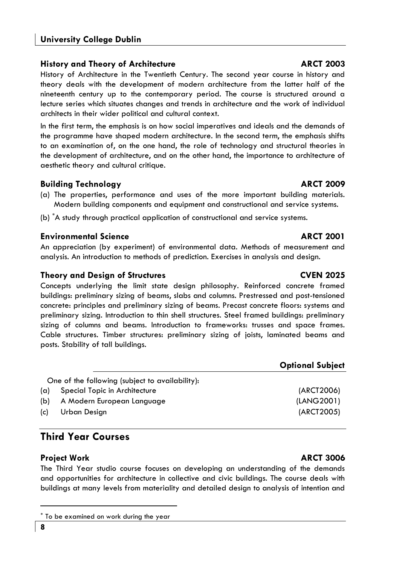# **History and Theory of Architecture Contract Contract ARCT 2003**

History of Architecture in the Twentieth Century. The second year course in history and theory deals with the development of modern architecture from the latter half of the nineteenth century up to the contemporary period. The course is structured around a lecture series which situates changes and trends in architecture and the work of individual architects in their wider political and cultural context.

In the first term, the emphasis is on how social imperatives and ideals and the demands of the programme have shaped modern architecture. In the second term, the emphasis shifts to an examination of, on the one hand, the role of technology and structural theories in the development of architecture, and on the other hand, the importance to architecture of aesthetic theory and cultural critique.

# **Building Technology ARCT 2009**

- (a) The properties, performance and uses of the more important building materials. Modern building components and equipment and constructional and service systems.
- (b) A study through practical application of constructional and service systems.

# **Environmental Science ARCT 2001**

An appreciation (by experiment) of environmental data. Methods of measurement and analysis. An introduction to methods of prediction. Exercises in analysis and design.

### **Theory and Design of Structures CVEN 2025**

Concepts underlying the limit state design philosophy. Reinforced concrete framed buildings: preliminary sizing of beams, slabs and columns. Prestressed and post-tensioned concrete: principles and preliminary sizing of beams. Precast concrete floors: systems and preliminary sizing. Introduction to thin shell structures. Steel framed buildings: preliminary sizing of columns and beams. Introduction to frameworks: trusses and space frames. Cable structures. Timber structures: preliminary sizing of joists, laminated beams and posts. Stability of tall buildings.

|     |                                                 | <b>ONININI VUNICU</b> |
|-----|-------------------------------------------------|-----------------------|
|     | One of the following (subject to availability): |                       |
| (a) | Special Topic in Architecture                   | (ARCT2006)            |
| (b) | A Modern European Language                      | (LANG2001)            |
| (c) | Urban Design                                    | (ARCT2005)            |

# **Third Year Courses**

# **Project Work ARCT 3006**

The Third Year studio course focuses on developing an understanding of the demands and opportunities for architecture in collective and civic buildings. The course deals with buildings at many levels from materiality and detailed design to analysis of intention and

**Optional Subject** 

To be examined on work during the year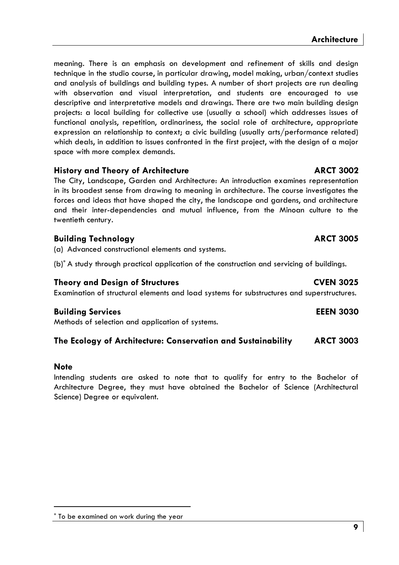meaning. There is an emphasis on development and refinement of skills and design technique in the studio course, in particular drawing, model making, urban/context studies and analysis of buildings and building types. A number of short projects are run dealing with observation and visual interpretation, and students are encouraged to use descriptive and interpretative models and drawings. There are two main building design projects: a local building for collective use (usually a school) which addresses issues of functional analysis, repetition, ordinariness, the social role of architecture, appropriate expression an relationship to context; a civic building (usually arts/performance related) which deals, in addition to issues confronted in the first project, with the design of a major space with more complex demands.

# **History and Theory of Architecture ARCT 3002**

The City, Landscape, Garden and Architecture: An introduction examines representation in its broadest sense from drawing to meaning in architecture. The course investigates the forces and ideas that have shaped the city, the landscape and gardens, and architecture and their inter-dependencies and mutual influence, from the Minoan culture to the twentieth century.

# **Building Technology ARCT 3005**

(a) Advanced constructional elements and systems.

(b)\* A study through practical application of the construction and servicing of buildings.

### **Theory and Design of Structures CVEN 3025**

Examination of structural elements and load systems for substructures and superstructures.

# **Building Services EEEN 3030**

Methods of selection and application of systems.

# **The Ecology of Architecture: Conservation and Sustainability ARCT 3003**

### **Note**

Intending students are asked to note that to qualify for entry to the Bachelor of Architecture Degree, they must have obtained the Bachelor of Science (Architectural Science) Degree or equivalent.

<sup>\*</sup> To be examined on work during the year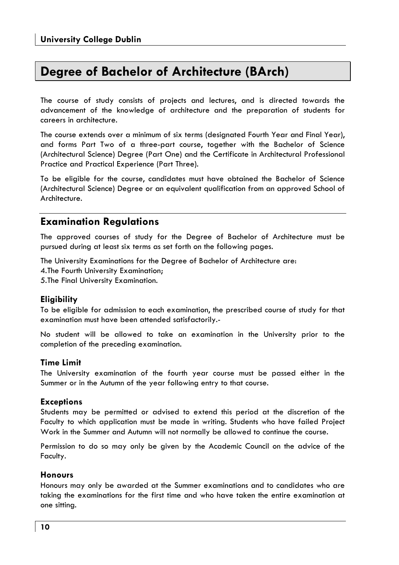# **Degree of Bachelor of Architecture (BArch)**

The course of study consists of projects and lectures, and is directed towards the advancement of the knowledge of architecture and the preparation of students for careers in architecture.

The course extends over a minimum of six terms (designated Fourth Year and Final Year), and forms Part Two of a three-part course, together with the Bachelor of Science (Architectural Science) Degree (Part One) and the Certificate in Architectural Professional Practice and Practical Experience (Part Three).

To be eligible for the course, candidates must have obtained the Bachelor of Science (Architectural Science) Degree or an equivalent qualification from an approved School of Architecture.

# **Examination Regulations**

The approved courses of study for the Degree of Bachelor of Architecture must be pursued during at least six terms as set forth on the following pages.

The University Examinations for the Degree of Bachelor of Architecture are: 4. The Fourth University Examination; 5. The Final University Examination.

# **Eligibility**

To be eligible for admission to each examination, the prescribed course of study for that examination must have been attended satisfactorily.-

No student will be allowed to take an examination in the University prior to the completion of the preceding examination.

# **Time Limit**

The University examination of the fourth year course must be passed either in the Summer or in the Autumn of the year following entry to that course.

# **Exceptions**

Students may be permitted or advised to extend this period at the discretion of the Faculty to which application must be made in writing. Students who have failed Project Work in the Summer and Autumn will not normally be allowed to continue the course.

Permission to do so may only be given by the Academic Council on the advice of the Faculty.

# **Honours**

Honours may only be awarded at the Summer examinations and to candidates who are taking the examinations for the first time and who have taken the entire examination at one sitting.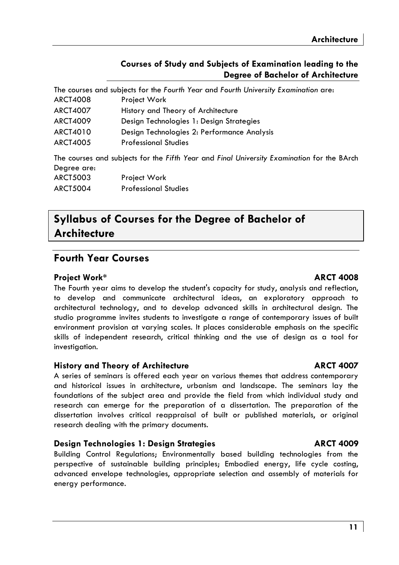|                 | The courses and subjects for the Fourth Year and Fourth University Examination are:        |
|-----------------|--------------------------------------------------------------------------------------------|
| ARCT4008        | Project Work                                                                               |
| <b>ARCT4007</b> | History and Theory of Architecture                                                         |
| <b>ARCT4009</b> | Design Technologies 1: Design Strategies                                                   |
| ARCT4010        | Design Technologies 2: Performance Analysis                                                |
| <b>ARCT4005</b> | <b>Professional Studies</b>                                                                |
|                 | The courses and subjects for the Fifth Year and Final University Examination for the BArch |
| Degree are:     |                                                                                            |
| <b>ARCT5003</b> | Project Work                                                                               |
| <b>ARCT5004</b> | <b>Professional Studies</b>                                                                |

# **Syllabus of Courses for the Degree of Bachelor of Architecture**

# **Fourth Year Courses**

### **Project Work\* ARCT 4008**

The Fourth year aims to develop the student's capacity for study, analysis and reflection, to develop and communicate architectural ideas, an exploratory approach to architectural technology, and to develop advanced skills in architectural design. The studio programme invites students to investigate a range of contemporary issues of built environment provision at varying scales. It places considerable emphasis on the specific skills of independent research, critical thinking and the use of design as a tool for investiaation.

### **History and Theory of Architecture Manufacture ARCT 4007**

A series of seminars is offered each year on various themes that address contemporary and historical issues in architecture, urbanism and landscape. The seminars lay the foundations of the subject area and provide the field from which individual study and research can emerge for the preparation of a dissertation. The preparation of the dissertation involves critical reappraisal of built or published materials, or original research dealing with the primary documents.

### **Design Technologies 1: Design Strategies ARCT 4009**

Building Control Regulations; Environmentally based building technologies from the perspective of sustainable building principles; Embodied energy, life cycle costing, advanced envelope technologies, appropriate selection and assembly of materials for energy performance.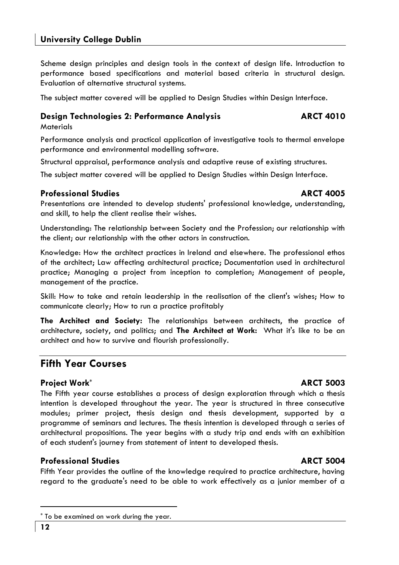Fifth Year provides the outline of the knowledge required to practice architecture, having regard to the graduate's need to be able to work effectively as a junior member of a

# **University College Dublin**

Scheme design principles and design tools in the context of design life. Introduction to performance based specifications and material based criteria in structural design. Evaluation of alternative structural systems.

The subject matter covered will be applied to Design Studies within Design Interface.

# **Design Technologies 2: Performance Analysis ARCT 4010**

**Materials** 

Performance analysis and practical application of investigative tools to thermal envelope performance and environmental modelling software.

Structural appraisal, performance analysis and adaptive reuse of existing structures.

The subject matter covered will be applied to Design Studies within Design Interface.

# **Professional Studies ARCT 4005 ARCT 4005**

Presentations are intended to develop students' professional knowledge, understanding, and skill, to help the client realise their wishes.

Understanding: The relationship between Society and the Profession; our relationship with the client; our relationship with the other actors in construction.

Knowledge: How the architect practices in Ireland and elsewhere. The professional ethos of the architect; Law affecting architectural practice; Documentation used in architectural practice; Managing a project from inception to completion; Management of people, management of the practice.

Skill: How to take and retain leadership in the realisation of the client's wishes; How to communicate clearly; How to run a practice profitably

**The Architect and Society:** The relationships between architects, the practice of architecture, society, and politics; and **The Architect at Work:** What it's like to be an architect and how to survive and flourish professionally.

# **Fifth Year Courses**

# **Project Work\* ARCT 5003**

The Fifth year course establishes a process of design exploration through which a thesis intention is developed throughout the year. The year is structured in three consecutive modules; primer project, thesis design and thesis development, supported by a programme of seminars and lectures. The thesis intention is developed through a series of architectural propositions. The year begins with a study trip and ends with an exhibition of each student's journey from statement of intent to developed thesis.

# **Professional Studies ARCT 5004 ARCT 5004**

<sup>\*</sup> To be examined on work during the year.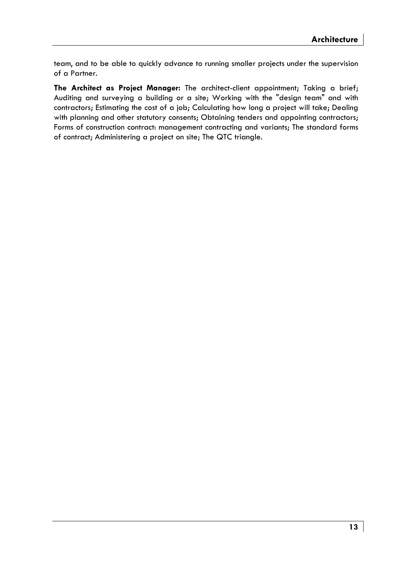team, and to be able to quickly advance to running smaller projects under the supervision of a Partner.

**The Architect as Project Manager:** The architect-client appointment; Taking a brief; Auditing and surveying a building or a site; Working with the "design team" and with contractors; Estimating the cost of a job; Calculating how long a project will take; Dealing with planning and other statutory consents; Obtaining tenders and appointing contractors; Forms of construction contract: management contracting and variants; The standard forms of contract; Administering a project on site; The QTC triangle.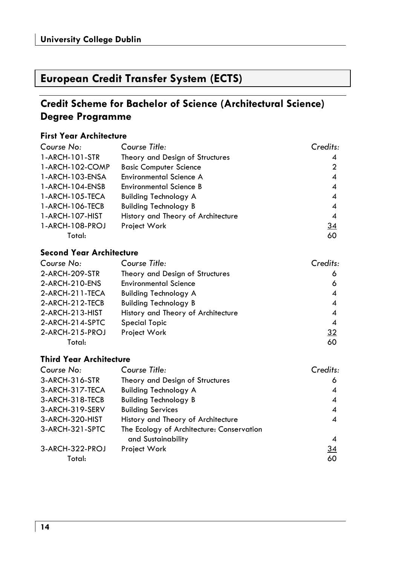# **European Credit Transfer System (ECTS)**

# **Credit Scheme for Bachelor of Science (Architectural Science) Degree Programme**

# **First Year Architecture**

| Course No:      | Course Title:                      | Credits:       |
|-----------------|------------------------------------|----------------|
| 1-ARCH-101-STR  | Theory and Design of Structures    | 4              |
| 1-ARCH-102-COMP | <b>Basic Computer Science</b>      | 2              |
| 1-ARCH-103-ENSA | <b>Environmental Science A</b>     | 4              |
| 1-ARCH-104-ENSB | <b>Environmental Science B</b>     | 4              |
| 1-ARCH-105-TECA | <b>Building Technology A</b>       | 4              |
| 1-ARCH-106-TECB | <b>Building Technology B</b>       | $\overline{A}$ |
| 1-ARCH-107-HIST | History and Theory of Architecture | 4              |
| 1-ARCH-108-PROJ | Project Work                       | 34             |
| Total:          |                                    | 60             |

# **Second Year Architecture**

| Course No:        | Course Title:                      | Credits: |
|-------------------|------------------------------------|----------|
| 2-ARCH-209-STR    | Theory and Design of Structures    | 6        |
| 2-ARCH-210-ENS    | <b>Environmental Science</b>       | 6        |
| 2-ARCH-211-TECA   | <b>Building Technology A</b>       | 4        |
| 2-ARCH-212-TECB   | <b>Building Technology B</b>       | 4        |
| 2-ARCH-213-HIST   | History and Theory of Architecture | 4        |
| 2-ARCH-214-SPTC   | <b>Special Topic</b>               | 4        |
| $2-ARCH-215-PROJ$ | Project Work                       | 32       |
| Total:            |                                    | 60       |

# **Third Year Architecture**

| Course No:      | Course Title:                             | Credits:       |
|-----------------|-------------------------------------------|----------------|
| 3-ARCH-316-STR  | Theory and Design of Structures           | 6              |
| 3-ARCH-317-TECA | <b>Building Technology A</b>              | $\overline{A}$ |
| 3-ARCH-318-TECB | <b>Building Technology B</b>              | 4              |
| 3-ARCH-319-SERV | <b>Building Services</b>                  | 4              |
| 3-ARCH-320-HIST | History and Theory of Architecture        | 4              |
| 3-ARCH-321-SPTC | The Ecology of Architecture: Conservation |                |
|                 | and Sustainability                        | 4              |
| 3-ARCH-322-PROJ | Project Work                              | <u>34</u>      |
| Total:          |                                           | 60             |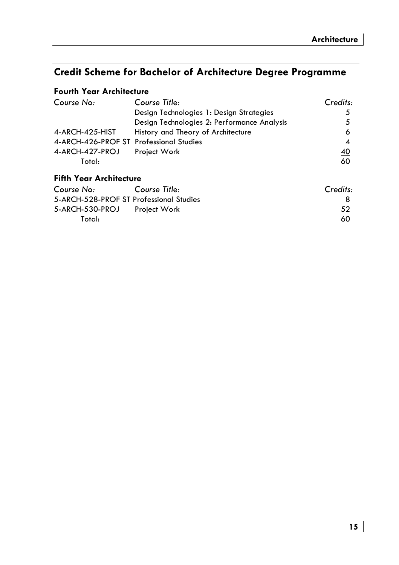# **Credit Scheme for Bachelor of Architecture Degree Programme**

# **Fourth Year Architecture**

| Course No:                              | Course Title:                               | Credits:  |
|-----------------------------------------|---------------------------------------------|-----------|
|                                         | Design Technologies 1: Design Strategies    | 5         |
|                                         | Design Technologies 2: Performance Analysis | 5         |
| 4-ARCH-425-HIST                         | History and Theory of Architecture          | 6         |
| 4-ARCH-426-PROF ST Professional Studies |                                             | 4         |
| 4-ARCH-427-PROJ                         | Project Work                                | <u>40</u> |
| Total:                                  |                                             | 60        |
| <b>Fifth Year Architecture</b>          |                                             |           |
| Course No:                              | Course Title:                               | Credits:  |
| 5-ARCH-528-PROF ST Professional Studies |                                             | 8         |
| 5-ARCH-530-PROJ                         | Project Work                                | 52        |

Total: 60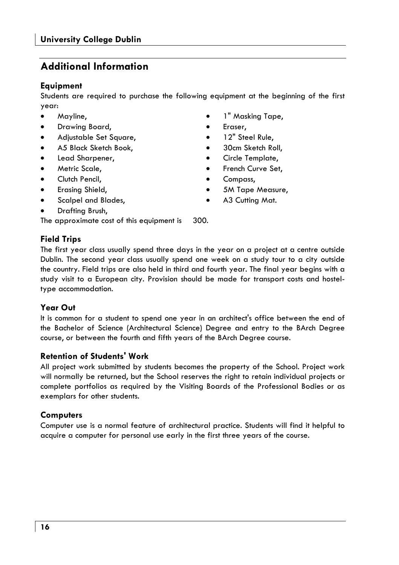# **Additional Information**

# **Equipment**

Students are required to purchase the following equipment at the beginning of the first year:

- Mayline,
- Drawing Board,
- Adjustable Set Square,
- A5 Black Sketch Book,
- Lead Sharpener,
- Metric Scale,
- Clutch Pencil.
- Erasing Shield,
- Scalpel and Blades,
- Drafting Brush,

The approximate cost of this equipment is 300.

# **Field Trips**

The first year class usually spend three days in the year on a project at a centre outside Dublin. The second year class usually spend one week on a study tour to a city outside the country. Field trips are also held in third and fourth year. The final year begins with a study visit to a European city. Provision should be made for transport costs and hosteltype accommodation.

# **Year Out**

It is common for a student to spend one year in an architect's office between the end of the Bachelor of Science (Architectural Science) Degree and entry to the BArch Degree course, or between the fourth and fifth years of the BArch Degree course.

# **Retention of Students' Work**

All project work submitted by students becomes the property of the School. Project work will normally be returned, but the School reserves the right to retain individual projects or complete portfolios as required by the Visiting Boards of the Professional Bodies or as exemplars for other students.

# **Computers**

Computer use is a normal feature of architectural practice. Students will find it helpful to acquire a computer for personal use early in the first three years of the course.

- 1" Masking Tape,
- Eraser,
- 12" Steel Rule,
- 30cm Sketch Roll,
- Circle Template,
- French Curve Set,
- Compass,
- 5M Tape Measure,
- A3 Cutting Mat.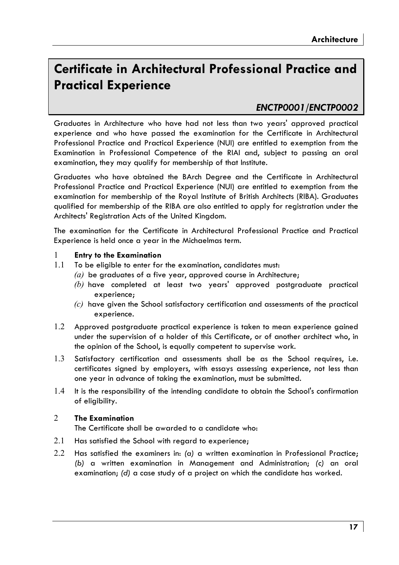# **Certificate in Architectural Professional Practice and Practical Experience**

# *ENCTP0001/ENCTP0002*

Graduates in Architecture who have had not less than two years' approved practical experience and who have passed the examination for the Certificate in Architectural Professional Practice and Practical Experience (NUI) are entitled to exemption from the Examination in Professional Competence of the RIAI and, subject to passing an oral examination, they may qualify for membership of that Institute.

Graduates who have obtained the BArch Degree and the Certificate in Architectural Professional Practice and Practical Experience (NUI) are entitled to exemption from the examination for membership of the Royal Institute of British Architects (RIBA). Graduates qualified for membership of the RIBA are also entitled to apply for registration under the Architects' Registration Acts of the United Kingdom.

The examination for the Certificate in Architectural Professional Practice and Practical Experience is held once a year in the Michaelmas term.

### 1 **Entry to the Examination**

- 1.1 To be eligible to enter for the examination, candidates must:
	- *(a)* be graduates of a five year, approved course in Architecture;
	- *(b)* have completed at least two years' approved postgraduate practical experience;
	- *(c)* have given the School satisfactory certification and assessments of the practical experience.
- 1.2 Approved postgraduate practical experience is taken to mean experience gained under the supervision of a holder of this Certificate, or of another architect who, in the opinion of the School, is equally competent to supervise work.
- 1.3 Satisfactory certification and assessments shall be as the School requires, i.e. certificates signed by employers, with essays assessing experience, not less than one year in advance of taking the examination, must be submitted.
- 1.4 It is the responsibility of the intending candidate to obtain the School's confirmation of eligibility.

### 2 **The Examination**

The Certificate shall be awarded to a candidate who:

- 2.1 Has satisfied the School with regard to experience;
- 2.2 Has satisfied the examiners in: *(a)* a written examination in Professional Practice; *(b)* a written examination in Management and Administration; *(c)* an oral examination; *(d)* a case study of a project on which the candidate has worked.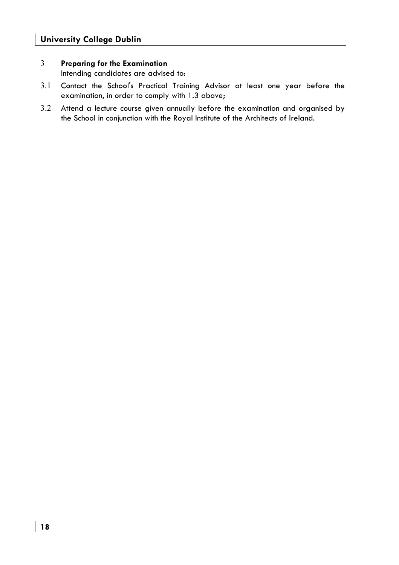### 3 **Preparing for the Examination**

Intending candidates are advised to:

- 3.1 Contact the School's Practical Training Advisor at least one year before the examination, in order to comply with 1.3 above;
- 3.2 Attend a lecture course given annually before the examination and organised by the School in conjunction with the Royal Institute of the Architects of Ireland.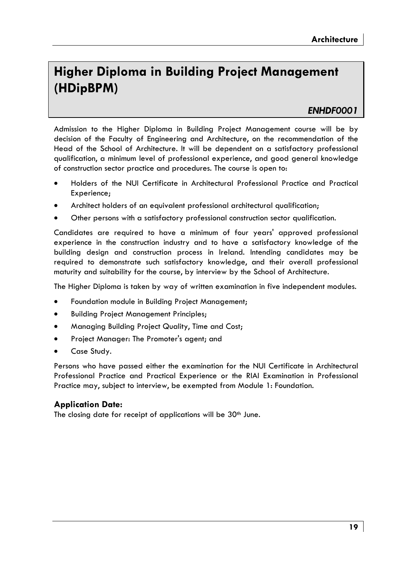# **Higher Diploma in Building Project Management (HDipBPM)**

# *ENHDF0001*

Admission to the Higher Diploma in Building Project Management course will be by decision of the Faculty of Engineering and Architecture, on the recommendation of the Head of the School of Architecture. It will be dependent on a satisfactory professional qualification, a minimum level of professional experience, and good general knowledge of construction sector practice and procedures. The course is open to:

- Holders of the NUI Certificate in Architectural Professional Practice and Practical Experience;
- Architect holders of an equivalent professional architectural qualification;
- Other persons with a satisfactory professional construction sector qualification.

Candidates are required to have a minimum of four years' approved professional experience in the construction industry and to have a satisfactory knowledge of the building design and construction process in Ireland. Intending candidates may be required to demonstrate such satisfactory knowledge, and their overall professional maturity and suitability for the course, by interview by the School of Architecture.

The Higher Diploma is taken by way of written examination in five independent modules.

- Foundation module in Building Project Management;
- Building Project Management Principles;
- Managing Building Project Quality, Time and Cost;
- Project Manager: The Promoter's agent; and
- Case Study.

Persons who have passed either the examination for the NUI Certificate in Architectural Professional Practice and Practical Experience or the RIAI Examination in Professional Practice may, subject to interview, be exempted from Module 1: Foundation.

# **Application Date:**

The closing date for receipt of applications will be 30<sup>th</sup> June.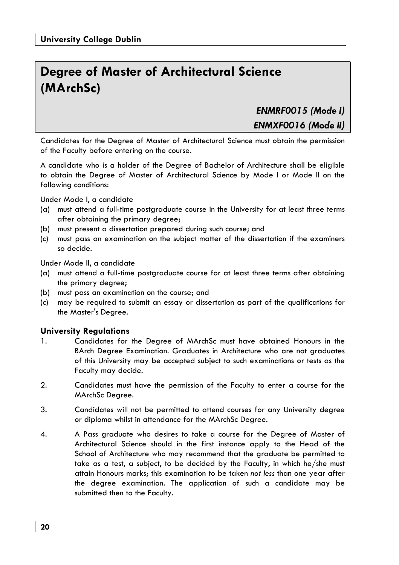# **Degree of Master of Architectural Science (MArchSc)**

*ENMRF0015 (Mode I)* 

*ENMXF0016 (Mode II)* 

Candidates for the Degree of Master of Architectural Science must obtain the permission of the Faculty before entering on the course.

A candidate who is a holder of the Degree of Bachelor of Architecture shall be eligible to obtain the Degree of Master of Architectural Science by Mode I or Mode II on the following conditions:

Under Mode I, a candidate

- (a) must attend a full-time postgraduate course in the University for at least three terms after obtaining the primary degree;
- (b) must present a dissertation prepared during such course; and
- (c) must pass an examination on the subject matter of the dissertation if the examiners so decide.

Under Mode II, a candidate

- (a) must attend a full-time postgraduate course for at least three terms after obtaining the primary degree;
- (b) must pass an examination on the course; and
- (c) may be required to submit an essay or dissertation as part of the qualifications for the Master's Degree.

# **University Regulations**

- 1. Candidates for the Degree of MArchSc must have obtained Honours in the BArch Degree Examination. Graduates in Architecture who are not graduates of this University may be accepted subject to such examinations or tests as the Faculty may decide.
- 2. Candidates must have the permission of the Faculty to enter a course for the MArchSc Degree.
- 3. Candidates will not be permitted to attend courses for any University degree or diploma whilst in attendance for the MArchSc Degree.
- 4. A Pass graduate who desires to take a course for the Degree of Master of Architectural Science should in the first instance apply to the Head of the School of Architecture who may recommend that the graduate be permitted to take as a test, a subject, to be decided by the Faculty, in which he/she must attain Honours marks; this examination to be taken *not less* than one year after the degree examination. The application of such a candidate may be submitted then to the Faculty.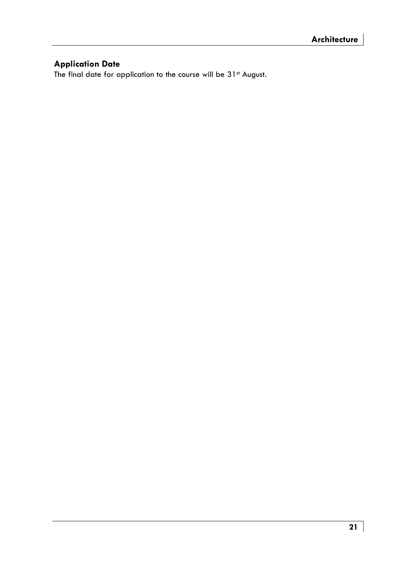# **Application Date**

The final date for application to the course will be 31st August.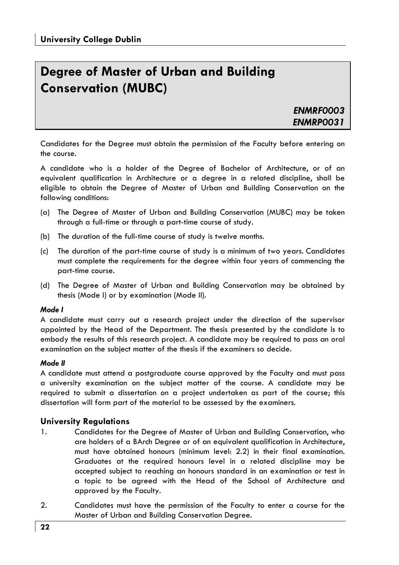# **Degree of Master of Urban and Building Conservation (MUBC)**

*ENMRF0003 ENMRP0031* 

Candidates for the Degree must obtain the permission of the Faculty before entering on the course.

A candidate who is a holder of the Degree of Bachelor of Architecture, or of an equivalent qualification in Architecture or a degree in a related discipline, shall be eligible to obtain the Degree of Master of Urban and Building Conservation on the following conditions:

- (a) The Degree of Master of Urban and Building Conservation (MUBC) may be taken through a full-time or through a part-time course of study.
- (b) The duration of the full-time course of study is twelve months.
- (c) The duration of the part-time course of study is a minimum of two years. Candidates must complete the requirements for the degree within four years of commencing the part-time course.
- (d) The Degree of Master of Urban and Building Conservation may be obtained by thesis (Mode I) or by examination (Mode II).

### *Mode I*

A candidate must carry out a research project under the direction of the supervisor appointed by the Head of the Department. The thesis presented by the candidate is to embody the results of this research project. A candidate may be required to pass an oral examination on the subject matter of the thesis if the examiners so decide.

### *Mode II*

A candidate must attend a postgraduate course approved by the Faculty and must pass a university examination on the subject matter of the course. A candidate may be required to submit a dissertation on a project undertaken as part of the course; this dissertation will form part of the material to be assessed by the examiners.

### **University Regulations**

- 1. Candidates for the Degree of Master of Urban and Building Conservation, who are holders of a BArch Degree or of an equivalent qualification in Architecture, must have obtained honours (minimum level: 2.2) in their final examination. Graduates at the required honours level in a related discipline may be accepted subject to reaching an honours standard in an examination or test in a topic to be agreed with the Head of the School of Architecture and approved by the Faculty.
- 2. Candidates must have the permission of the Faculty to enter a course for the Master of Urban and Building Conservation Degree.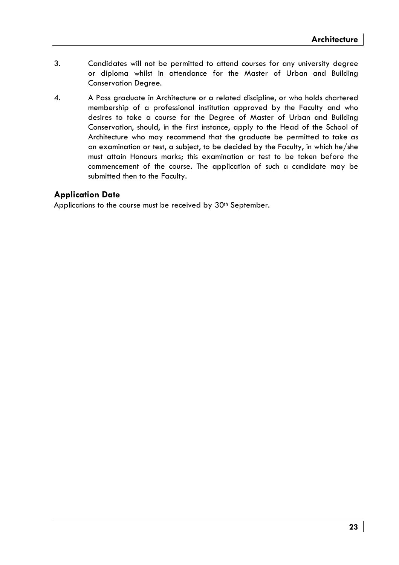- 3. Candidates will not be permitted to attend courses for any university degree or diploma whilst in attendance for the Master of Urban and Building Conservation Degree.
- 4. A Pass graduate in Architecture or a related discipline, or who holds chartered membership of a professional institution approved by the Faculty and who desires to take a course for the Degree of Master of Urban and Building Conservation, should, in the first instance, apply to the Head of the School of Architecture who may recommend that the graduate be permitted to take as an examination or test, a subject, to be decided by the Faculty, in which he/she must attain Honours marks; this examination or test to be taken before the commencement of the course. The application of such a candidate may be submitted then to the Faculty.

# **Application Date**

Applications to the course must be received by 30<sup>th</sup> September.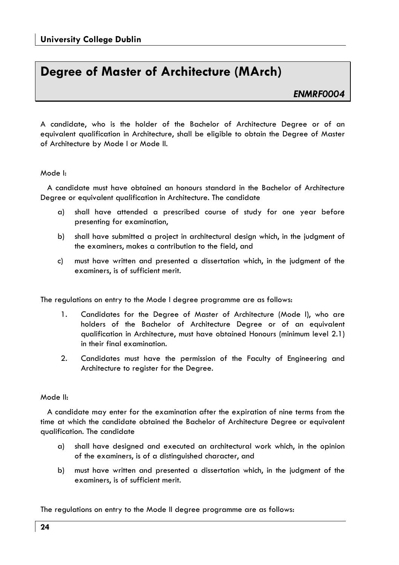# **Degree of Master of Architecture (MArch)**

# *ENMRF0004*

A candidate, who is the holder of the Bachelor of Architecture Degree or of an equivalent qualification in Architecture, shall be eligible to obtain the Degree of Master of Architecture by Mode I or Mode II.

### Mode I:

 A candidate must have obtained an honours standard in the Bachelor of Architecture Degree or equivalent qualification in Architecture. The candidate

- a) shall have attended a prescribed course of study for one year before presenting for examination,
- b) shall have submitted a project in architectural design which, in the judgment of the examiners, makes a contribution to the field, and
- c) must have written and presented a dissertation which, in the judgment of the examiners, is of sufficient merit.

The regulations on entry to the Mode I degree programme are as follows:

- 1. Candidates for the Degree of Master of Architecture (Mode I), who are holders of the Bachelor of Architecture Degree or of an equivalent qualification in Architecture, must have obtained Honours (minimum level 2.1) in their final examination.
- 2. Candidates must have the permission of the Faculty of Engineering and Architecture to register for the Degree.

### Mode II:

 A candidate may enter for the examination after the expiration of nine terms from the time at which the candidate obtained the Bachelor of Architecture Degree or equivalent qualification. The candidate

- a) shall have designed and executed an architectural work which, in the opinion of the examiners, is of a distinguished character, and
- b) must have written and presented a dissertation which, in the judgment of the examiners, is of sufficient merit.

The regulations on entry to the Mode II degree programme are as follows: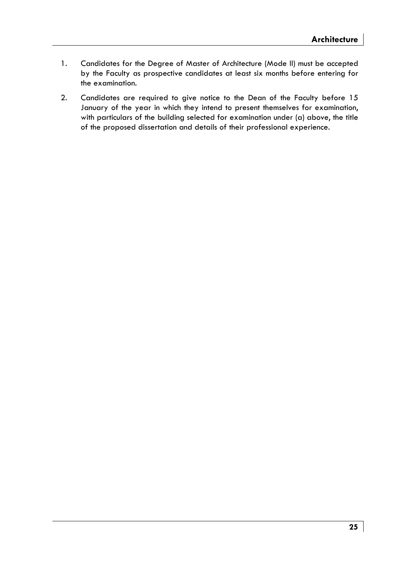- 1. Candidates for the Degree of Master of Architecture (Mode II) must be accepted by the Faculty as prospective candidates at least six months before entering for the examination.
- 2. Candidates are required to give notice to the Dean of the Faculty before 15 January of the year in which they intend to present themselves for examination, with particulars of the building selected for examination under (a) above, the title of the proposed dissertation and details of their professional experience.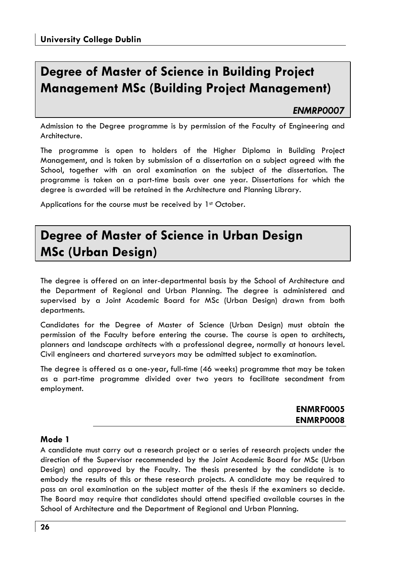# **Degree of Master of Science in Building Project Management MSc (Building Project Management)**

# *ENMRP0007*

Admission to the Degree programme is by permission of the Faculty of Engineering and Architecture.

The programme is open to holders of the Higher Diploma in Building Project Management, and is taken by submission of a dissertation on a subject agreed with the School, together with an oral examination on the subject of the dissertation. The programme is taken on a part-time basis over one year. Dissertations for which the degree is awarded will be retained in the Architecture and Planning Library.

Applications for the course must be received by 1st October.

# **Degree of Master of Science in Urban Design MSc (Urban Design)**

The degree is offered on an inter-departmental basis by the School of Architecture and the Department of Regional and Urban Planning. The degree is administered and supervised by a Joint Academic Board for MSc (Urban Design) drawn from both departments.

Candidates for the Degree of Master of Science (Urban Design) must obtain the permission of the Faculty before entering the course. The course is open to architects, planners and landscape architects with a professional degree, normally at honours level. Civil engineers and chartered surveyors may be admitted subject to examination.

The degree is offered as a one-year, full-time (46 weeks) programme that may be taken as a part-time programme divided over two years to facilitate secondment from employment.

| <b>ENMRF0005</b> |
|------------------|
| <b>ENMRP0008</b> |

### **Mode 1**

A candidate must carry out a research project or a series of research projects under the direction of the Supervisor recommended by the Joint Academic Board for MSc (Urban Design) and approved by the Faculty. The thesis presented by the candidate is to embody the results of this or these research projects. A candidate may be required to pass an oral examination on the subject matter of the thesis if the examiners so decide. The Board may require that candidates should attend specified available courses in the School of Architecture and the Department of Regional and Urban Planning.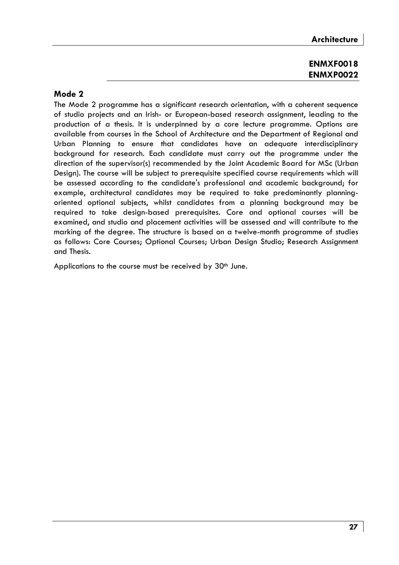# **ENMXF0018 ENMXP0022**

# **Mode 2**

The Mode 2 programme has a significant research orientation, with a coherent sequence of studio projects and an Irish- or European-based research assignment, leading to the production of a thesis. It is underpinned by a core lecture programme. Options are available from courses in the School of Architecture and the Department of Regional and Urban Planning to ensure that candidates have an adequate interdisciplinary background for research. Each candidate must carry out the programme under the direction of the supervisor(s) recommended by the Joint Academic Board for MSc (Urban Design). The course will be subject to prerequisite specified course requirements which will be assessed according to the candidate's professional and academic background; for example, architectural candidates may be required to take predominantly planningoriented optional subjects, whilst candidates from a planning background may be required to take design-based prerequisites. Core and optional courses will be examined, and studio and placement activities will be assessed and will contribute to the marking of the degree. The structure is based on a twelve-month programme of studies as follows: Core Courses; Optional Courses; Urban Design Studio; Research Assignment and Thesis.

Applications to the course must be received by 30<sup>th</sup> June.